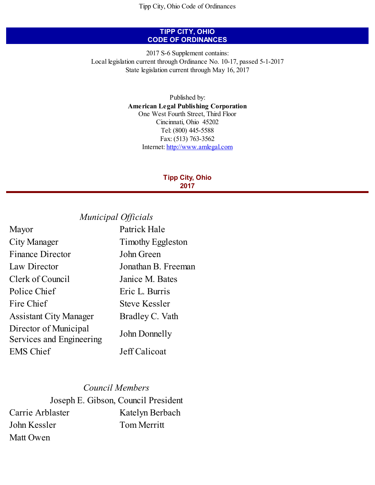## **TIPP CITY, OHIO CODE OF ORDINANCES**

2017 S-6 Supplement contains: Local legislation current through Ordinance No. 10-17, passed 5-1-2017 State legislation current through May 16, 2017

> Published by: **American Legal Publishing Corporation** One West Fourth Street, Third Floor Cincinnati, Ohio 45202 Tel: (800) 445-5588 Fax: (513) 763-3562 Internet: <http://www.amlegal.com>

## **Tipp City, Ohio 2017**

# *Municipal Of icials*

| Mayor                                             | Patrick Hale         |
|---------------------------------------------------|----------------------|
| City Manager                                      | Timothy Eggleston    |
| <b>Finance Director</b>                           | John Green           |
| Law Director                                      | Jonathan B. Freeman  |
| Clerk of Council                                  | Janice M. Bates      |
| Police Chief                                      | Eric L. Burris       |
| Fire Chief                                        | <b>Steve Kessler</b> |
| <b>Assistant City Manager</b>                     | Bradley C. Vath      |
| Director of Municipal<br>Services and Engineering | John Donnelly        |
| <b>EMS</b> Chief                                  | Jeff Calicoat        |

## *Council Members*

Joseph E. Gibson, Council President Carrie Arblaster Katelyn Berbach John Kessler Tom Merritt Matt Owen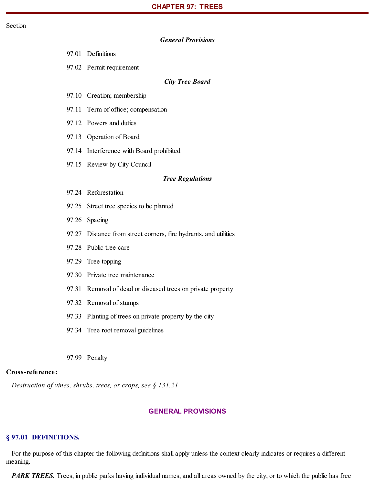## *General Provisions*

97.02 Permit requirement

#### *City Tree Board*

- 97.10 Creation; membership
- 97.11 Term of office; compensation
- 97.12 Powers and duties
- 97.13 Operation of Board
- 97.14 Interference with Board prohibited
- 97.15 Review by City Council

#### *Tree Regulations*

- 97.24 Reforestation
- 97.25 Street tree species to be planted
- 97.26 Spacing
- 97.27 Distance from street corners, fire hydrants, and utilities
- 97.28 Public tree care
- 97.29 Tree topping
- 97.30 Private tree maintenance
- 97.31 Removal of dead or diseased trees on private property
- 97.32 Removal of stumps
- 97.33 Planting of trees on private property by the city
- 97.34 Tree root removal guidelines
- 97.99 Penalty

#### **Cross-reference:**

*Destruction of vines, shrubs, trees, or crops, see § 131.21*

## **GENERAL PROVISIONS**

## **§ 97.01 DEFINITIONS.**

For the purpose of this chapter the following definitions shall apply unless the context clearly indicates or requires a different meaning.

*PARK TREES.* Trees, in public parks having individual names, and all areas owned by the city, or to which the public has free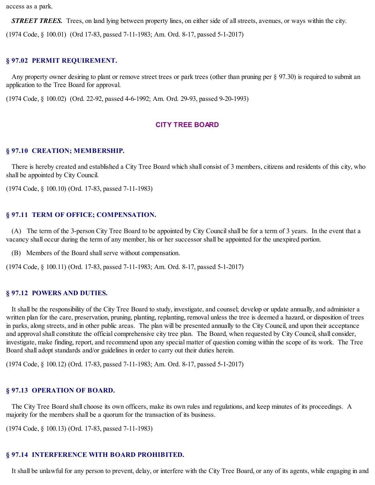access as a park.

*STREET TREES.* Trees, on land lying between property lines, on either side of allstreets, avenues, or ways within the city.

(1974 Code, § 100.01) (Ord 17-83, passed 7-11-1983; Am. Ord. 8-17, passed 5-1-2017)

### **§ 97.02 PERMIT REQUIREMENT.**

Any property owner desiring to plant or remove street trees or park trees (other than pruning per § 97.30) is required to submit an application to the Tree Board for approval.

(1974 Code, § 100.02) (Ord. 22-92, passed 4-6-1992; Am. Ord. 29-93, passed 9-20-1993)

## **CITY TREE BOARD**

#### **§ 97.10 CREATION; MEMBERSHIP.**

There is hereby created and established a City Tree Board which shall consist of 3 members, citizens and residents of this city, who shall be appointed by City Council.

(1974 Code, § 100.10) (Ord. 17-83, passed 7-11-1983)

#### **§ 97.11 TERM OF OFFICE; COMPENSATION.**

(A) The term of the 3-person City Tree Board to be appointed by City Councilshall be for a term of 3 years. In the event that a vacancy shall occur during the term of any member, his or her successor shall be appointed for the unexpired portion.

(B) Members of the Board shallserve without compensation.

(1974 Code, § 100.11) (Ord. 17-83, passed 7-11-1983; Am. Ord. 8-17, passed 5-1-2017)

### **§ 97.12 POWERS AND DUTIES.**

It shall be the responsibility of the City Tree Board to study, investigate, and counsel; develop or update annually, and administer a written plan for the care, preservation, pruning, planting, replanting, removal unless the tree is deemed a hazard, or disposition of trees in parks, along streets, and in other public areas. The plan will be presented annually to the City Council, and upon their acceptance and approval shall constitute the official comprehensive city tree plan. The Board, when requested by City Council, shall consider, investigate, make finding, report, and recommend upon any special matter of question coming within the scope of its work. The Tree Board shall adopt standards and/or guidelines in order to carry out their duties herein.

(1974 Code, § 100.12) (Ord. 17-83, passed 7-11-1983; Am. Ord. 8-17, passed 5-1-2017)

## **§ 97.13 OPERATION OF BOARD.**

The City Tree Board shall choose its own officers, make its own rules and regulations, and keep minutes of its proceedings. A majority for the members shall be a quorum for the transaction of its business.

(1974 Code, § 100.13) (Ord. 17-83, passed 7-11-1983)

## **§ 97.14 INTERFERENCE WITH BOARD PROHIBITED.**

It shall be unlawful for any person to prevent, delay, or interfere with the City Tree Board, or any of its agents, while engaging in and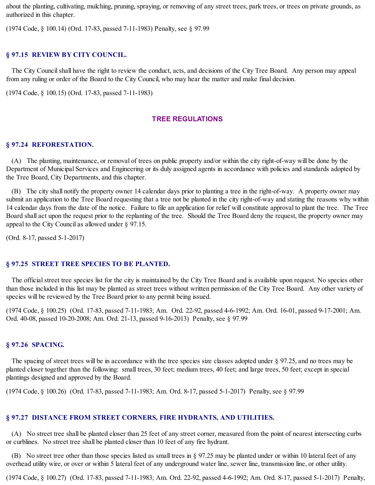about the planting, cultivating, mulching, pruning, spraying, or removing of any street trees, park trees, or trees on private grounds, as authorized in this chapter.

(1974 Code, § 100.14) (Ord. 17-83, passed 7-11-1983) Penalty, see § 97.99

#### **§ 97.15 REVIEW BY CITY COUNCIL.**

The City Council shall have the right to review the conduct, acts, and decisions of the City Tree Board. Any person may appeal from any ruling or order of the Board to the City Council, who may hear the matter and make final decision.

(1974 Code, § 100.15) (Ord. 17-83, passed 7-11-1983)

## **TREE REGULATIONS**

## **§ 97.24 REFORESTATION.**

(A) The planting, maintenance, or removal of trees on public property and/or within the city right-of-way will be done by the Department of Municipal Services and Engineering or its duly assigned agents in accordance with policies and standards adopted by the Tree Board, City Departments, and this chapter.

(B) The city shall notify the property owner 14 calendar days prior to planting a tree in the right-of-way. A property owner may submit an application to the Tree Board requesting that a tree not be planted in the city right-of-way and stating the reasons why within 14 calendar days from the date of the notice. Failure to file an application for relief will constitute approval to plant the tree. The Tree Board shall act upon the request prior to the replanting of the tree. Should the Tree Board deny the request, the property owner may appeal to the City Council as allowed under § 97.15.

(Ord. 8-17, passed 5-1-2017)

#### **§ 97.25 STREET TREE SPECIES TO BE PLANTED.**

The official street tree species list for the city is maintained by the City Tree Board and is available upon request. No species other than those included in this list may be planted as street trees without written permission of the City Tree Board. Any other variety of species will be reviewed by the Tree Board prior to any permit being issued.

(1974 Code, § 100.25) (Ord. 17-83, passed 7-11-1983; Am. Ord. 22-92, passed 4-6-1992; Am. Ord. 16-01, passed 9-17-2001; Am. Ord. 40-08, passed 10-20-2008; Am. Ord. 21-13, passed 9-16-2013) Penalty, see § 97.99

#### **§ 97.26 SPACING.**

The spacing of street trees will be in accordance with the tree species size classes adopted under § 97.25, and no trees may be planted closer together than the following: small trees, 30 feet; medium trees, 40 feet; and large trees, 50 feet; except in special plantings designed and approved by the Board.

(1974 Code, § 100.26) (Ord. 17-83, passed 7-11-1983; Am. Ord. 8-17, passed 5-1-2017) Penalty, see § 97.99

## **§ 97.27 DISTANCE FROM STREET CORNERS, FIRE HYDRANTS, AND UTILITIES.**

(A) No street tree shall be planted closer than 25 feet of any street corner, measured from the point of nearest intersecting curbs or curblines. No street tree shall be planted closer than 10 feet of any fire hydrant.

(B) No street tree other than those species listed as small trees in § 97.25 may be planted under or within 10 lateral feet of any overhead utility wire, or over or within 5 lateral feet of any underground water line, sewer line, transmission line, or other utility.

(1974 Code, § 100.27) (Ord. 17-83, passed 7-11-1983; Am. Ord. 22-92, passed 4-6-1992; Am. Ord. 8-17, passed 5-1-2017) Penalty,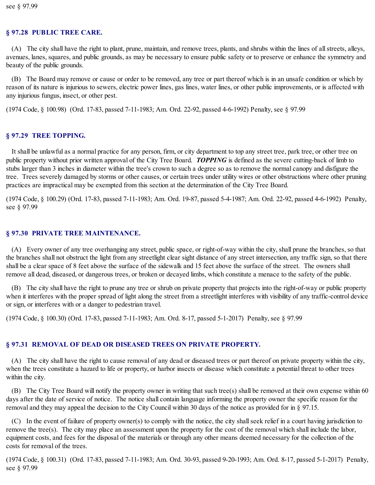## **§ 97.28 PUBLIC TREE CARE.**

(A) The city shall have the right to plant, prune, maintain, and remove trees, plants, and shrubs within the lines of allstreets, alleys, avenues, lanes, squares, and public grounds, as may be necessary to ensure public safety or to preserve or enhance the symmetry and beauty of the public grounds.

(B) The Board may remove or cause or order to be removed, any tree or part thereof which is in an unsafe condition or which by reason of its nature is injurious to sewers, electric power lines, gas lines, water lines, or other public improvements, or is affected with any injurious fungus, insect, or other pest.

(1974 Code, § 100.98) (Ord. 17-83, passed 7-11-1983; Am. Ord. 22-92, passed 4-6-1992) Penalty, see § 97.99

## **§ 97.29 TREE TOPPING.**

It shall be unlawful as a normal practice for any person, firm, or city department to top any street tree, park tree, or other tree on public property without prior written approval of the City Tree Board. *TOPPING* is defined as the severe cutting-back of limb to stubs larger than 3 inches in diameter within the tree's crown to such a degree so as to remove the normal canopy and disfigure the tree. Trees severely damaged by storms or other causes, or certain trees under utility wires or other obstructions where other pruning practices are impractical may be exempted from this section at the determination of the City Tree Board.

(1974 Code, § 100.29) (Ord. 17-83, passed 7-11-1983; Am. Ord. 19-87, passed 5-4-1987; Am. Ord. 22-92, passed 4-6-1992) Penalty, see § 97.99

## **§ 97.30 PRIVATE TREE MAINTENANCE.**

(A) Every owner of any tree overhanging any street, public space, or right-of-way within the city, shall prune the branches, so that the branches shall not obstruct the light from any streetlight clear sight distance of any street intersection, any traffic sign, so that there shall be a clear space of 8 feet above the surface of the sidewalk and 15 feet above the surface of the street. The owners shall remove all dead, diseased, or dangerous trees, or broken or decayed limbs, which constitute a menace to the safety of the public.

(B) The city shall have the right to prune any tree or shrub on private property that projects into the right-of-way or public property when it interferes with the proper spread of light along the street from a streetlight interferes with visibility of any traffic-control device or sign, or interferes with or a danger to pedestrian travel.

(1974 Code, § 100.30) (Ord. 17-83, passed 7-11-1983; Am. Ord. 8-17, passed 5-1-2017) Penalty, see § 97.99

## **§ 97.31 REMOVAL OF DEAD OR DISEASED TREES ON PRIVATE PROPERTY.**

(A) The city shall have the right to cause removal of any dead or diseased trees or part thereof on private property within the city, when the trees constitute a hazard to life or property, or harbor insects or disease which constitute a potential threat to other trees within the city.

(B) The City Tree Board will notify the property owner in writing that such tree(s) shall be removed at their own expense within 60 days after the date of service of notice. The notice shall contain language informing the property owner the specific reason for the removal and they may appeal the decision to the City Council within 30 days of the notice as provided for in § 97.15.

(C) In the event of failure of property owner(s) to comply with the notice, the city shallseek relief in a court having jurisdiction to remove the tree(s). The city may place an assessment upon the property for the cost of the removal which shall include the labor, equipment costs, and fees for the disposal of the materials or through any other means deemed necessary for the collection of the costs for removal of the trees.

(1974 Code, § 100.31) (Ord. 17-83, passed 7-11-1983; Am. Ord. 30-93, passed 9-20-1993; Am. Ord. 8-17, passed 5-1-2017) Penalty, see § 97.99